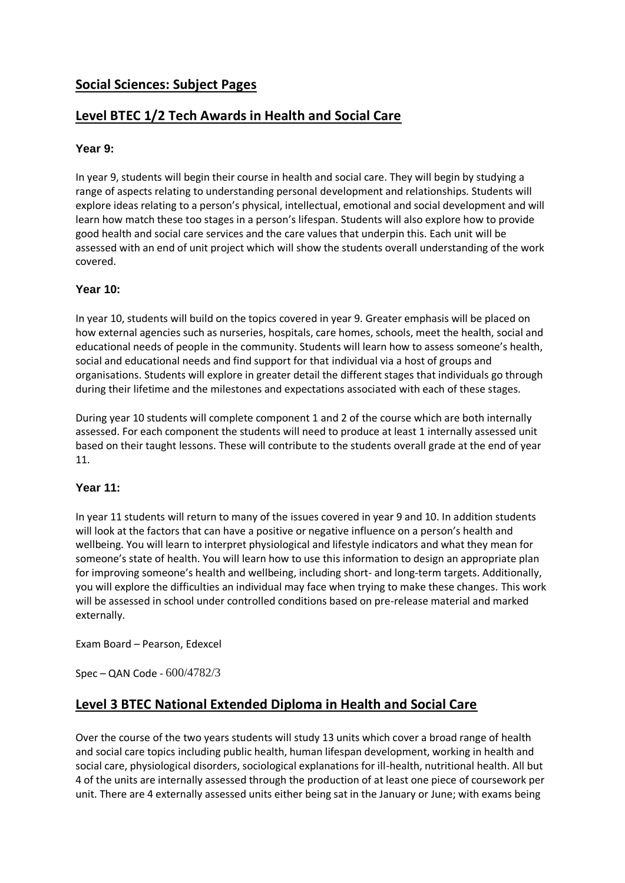## **Social Sciences: Subject Pages**

## **Level BTEC 1/2 Tech Awards in Health and Social Care**

#### **Year 9:**

In year 9, students will begin their course in health and social care. They will begin by studying a range of aspects relating to understanding personal development and relationships. Students will explore ideas relating to a person's physical, intellectual, emotional and social development and will learn how match these too stages in a person's lifespan. Students will also explore how to provide good health and social care services and the care values that underpin this. Each unit will be assessed with an end of unit project which will show the students overall understanding of the work covered.

#### **Year 10:**

In year 10, students will build on the topics covered in year 9. Greater emphasis will be placed on how external agencies such as nurseries, hospitals, care homes, schools, meet the health, social and educational needs of people in the community. Students will learn how to assess someone's health, social and educational needs and find support for that individual via a host of groups and organisations. Students will explore in greater detail the different stages that individuals go through during their lifetime and the milestones and expectations associated with each of these stages.

During year 10 students will complete component 1 and 2 of the course which are both internally assessed. For each component the students will need to produce at least 1 internally assessed unit based on their taught lessons. These will contribute to the students overall grade at the end of year 11.

#### **Year 11:**

In year 11 students will return to many of the issues covered in year 9 and 10. In addition students will look at the factors that can have a positive or negative influence on a person's health and wellbeing. You will learn to interpret physiological and lifestyle indicators and what they mean for someone's state of health. You will learn how to use this information to design an appropriate plan for improving someone's health and wellbeing, including short- and long-term targets. Additionally, you will explore the difficulties an individual may face when trying to make these changes. This work will be assessed in school under controlled conditions based on pre-release material and marked externally.

Exam Board – Pearson, Edexcel

Spec – QAN Code - 600/4782/3

#### **Level 3 BTEC National Extended Diploma in Health and Social Care**

Over the course of the two years students will study 13 units which cover a broad range of health and social care topics including public health, human lifespan development, working in health and social care, physiological disorders, sociological explanations for ill-health, nutritional health. All but 4 of the units are internally assessed through the production of at least one piece of coursework per unit. There are 4 externally assessed units either being sat in the January or June; with exams being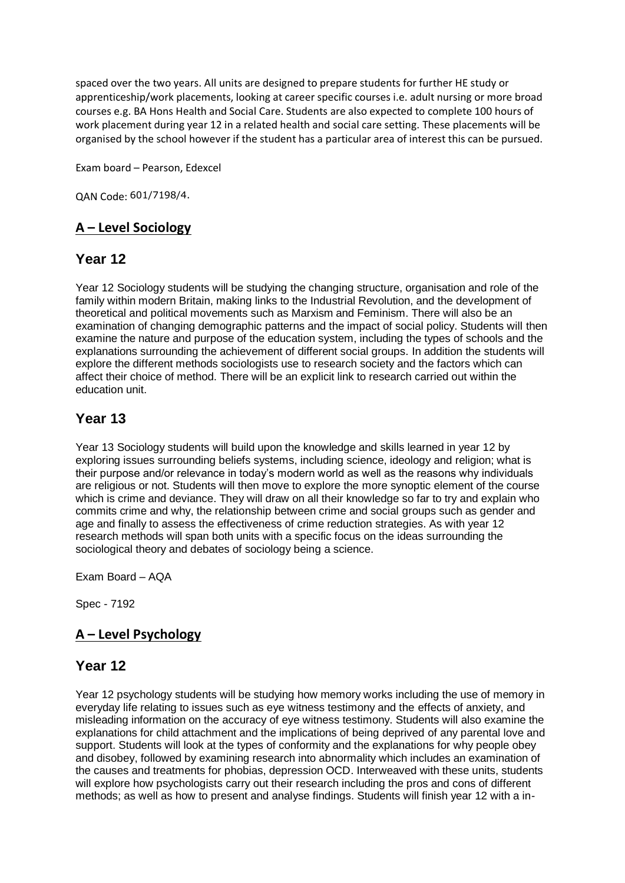spaced over the two years. All units are designed to prepare students for further HE study or apprenticeship/work placements, looking at career specific courses i.e. adult nursing or more broad courses e.g. BA Hons Health and Social Care. Students are also expected to complete 100 hours of work placement during year 12 in a related health and social care setting. These placements will be organised by the school however if the student has a particular area of interest this can be pursued.

Exam board – Pearson, Edexcel

QAN Code: 601/7198/4.

## **A – Level Sociology**

## **Year 12**

Year 12 Sociology students will be studying the changing structure, organisation and role of the family within modern Britain, making links to the Industrial Revolution, and the development of theoretical and political movements such as Marxism and Feminism. There will also be an examination of changing demographic patterns and the impact of social policy. Students will then examine the nature and purpose of the education system, including the types of schools and the explanations surrounding the achievement of different social groups. In addition the students will explore the different methods sociologists use to research society and the factors which can affect their choice of method. There will be an explicit link to research carried out within the education unit.

## **Year 13**

Year 13 Sociology students will build upon the knowledge and skills learned in year 12 by exploring issues surrounding beliefs systems, including science, ideology and religion; what is their purpose and/or relevance in today's modern world as well as the reasons why individuals are religious or not. Students will then move to explore the more synoptic element of the course which is crime and deviance. They will draw on all their knowledge so far to try and explain who commits crime and why, the relationship between crime and social groups such as gender and age and finally to assess the effectiveness of crime reduction strategies. As with year 12 research methods will span both units with a specific focus on the ideas surrounding the sociological theory and debates of sociology being a science.

Exam Board – AQA

Spec - 7192

# **A – Level Psychology**

#### **Year 12**

Year 12 psychology students will be studying how memory works including the use of memory in everyday life relating to issues such as eye witness testimony and the effects of anxiety, and misleading information on the accuracy of eye witness testimony. Students will also examine the explanations for child attachment and the implications of being deprived of any parental love and support. Students will look at the types of conformity and the explanations for why people obey and disobey, followed by examining research into abnormality which includes an examination of the causes and treatments for phobias, depression OCD. Interweaved with these units, students will explore how psychologists carry out their research including the pros and cons of different methods; as well as how to present and analyse findings. Students will finish year 12 with a in